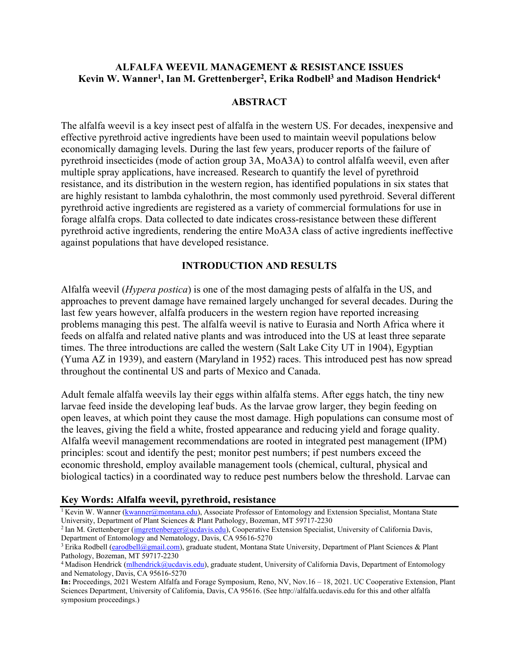# **ALFALFA WEEVIL MANAGEMENT & RESISTANCE ISSUES Kevin W. Wanner1, Ian M. Grettenberger2, Erika Rodbell3 and Madison Hendrick4**

### **ABSTRACT**

The alfalfa weevil is a key insect pest of alfalfa in the western US. For decades, inexpensive and effective pyrethroid active ingredients have been used to maintain weevil populations below economically damaging levels. During the last few years, producer reports of the failure of pyrethroid insecticides (mode of action group 3A, MoA3A) to control alfalfa weevil, even after multiple spray applications, have increased. Research to quantify the level of pyrethroid resistance, and its distribution in the western region, has identified populations in six states that are highly resistant to lambda cyhalothrin, the most commonly used pyrethroid. Several different pyrethroid active ingredients are registered as a variety of commercial formulations for use in forage alfalfa crops. Data collected to date indicates cross-resistance between these different pyrethroid active ingredients, rendering the entire MoA3A class of active ingredients ineffective against populations that have developed resistance.

# **INTRODUCTION AND RESULTS**

Alfalfa weevil (*Hypera postica*) is one of the most damaging pests of alfalfa in the US, and approaches to prevent damage have remained largely unchanged for several decades. During the last few years however, alfalfa producers in the western region have reported increasing problems managing this pest. The alfalfa weevil is native to Eurasia and North Africa where it feeds on alfalfa and related native plants and was introduced into the US at least three separate times. The three introductions are called the western (Salt Lake City UT in 1904), Egyptian (Yuma AZ in 1939), and eastern (Maryland in 1952) races. This introduced pest has now spread throughout the continental US and parts of Mexico and Canada.

Adult female alfalfa weevils lay their eggs within alfalfa stems. After eggs hatch, the tiny new larvae feed inside the developing leaf buds. As the larvae grow larger, they begin feeding on open leaves, at which point they cause the most damage. High populations can consume most of the leaves, giving the field a white, frosted appearance and reducing yield and forage quality. Alfalfa weevil management recommendations are rooted in integrated pest management (IPM) principles: scout and identify the pest; monitor pest numbers; if pest numbers exceed the economic threshold, employ available management tools (chemical, cultural, physical and biological tactics) in a coordinated way to reduce pest numbers below the threshold. Larvae can

### **Key Words: Alfalfa weevil, pyrethroid, resistance**

<sup>1</sup> Kevin W. Wanner (*kwanner@montana.edu*), Associate Professor of Entomology and Extension Specialist, Montana State University, Department of Plant Sciences & Plant Pathology, Bozeman, MT 59717-2230

<sup>&</sup>lt;sup>2</sup> Ian M. Grettenberger [\(imgrettenberger@ucdavis.edu\)](mailto:imgrettenberger@ucdavis.edu), Cooperative Extension Specialist, University of California Davis, Department of Entomology and Nematology, Davis, CA 95616-5270

<sup>&</sup>lt;sup>3</sup> Erika Rodbell [\(earodbell@gmail.com\)](mailto:earodbell@gmail.com), graduate student, Montana State University, Department of Plant Sciences & Plant Pathology, Bozeman, MT 59717-2230

<sup>&</sup>lt;sup>4</sup> Madison Hendrick [\(mlhendrick@ucdavis.edu\)](mailto:mlhendrick@ucdavis.edu), graduate student, University of California Davis, Department of Entomology and Nematology, Davis, CA 95616-5270

**In:** Proceedings, 2021 Western Alfalfa and Forage Symposium, Reno, NV, Nov.16 – 18, 2021. UC Cooperative Extension, Plant Sciences Department, University of California, Davis, CA 95616. (See http://alfalfa.ucdavis.edu for this and other alfalfa symposium proceedings.)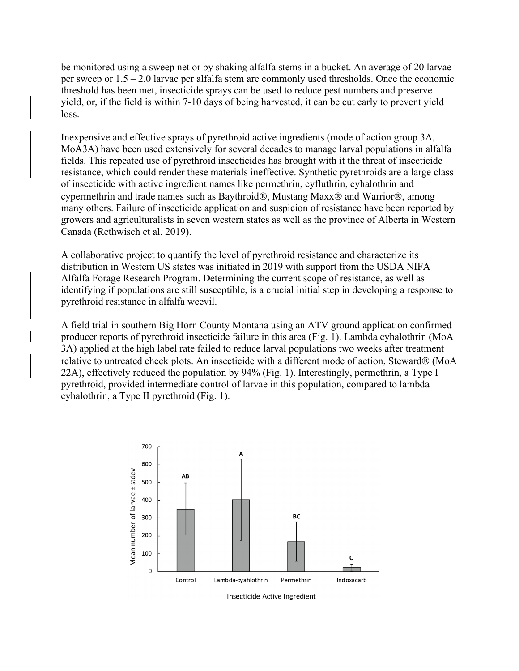be monitored using a sweep net or by shaking alfalfa stems in a bucket. An average of 20 larvae per sweep or 1.5 – 2.0 larvae per alfalfa stem are commonly used thresholds. Once the economic threshold has been met, insecticide sprays can be used to reduce pest numbers and preserve yield, or, if the field is within 7-10 days of being harvested, it can be cut early to prevent yield loss.

Inexpensive and effective sprays of pyrethroid active ingredients (mode of action group 3A, MoA3A) have been used extensively for several decades to manage larval populations in alfalfa fields. This repeated use of pyrethroid insecticides has brought with it the threat of insecticide resistance, which could render these materials ineffective. Synthetic pyrethroids are a large class of insecticide with active ingredient names like permethrin, cyfluthrin, cyhalothrin and cypermethrin and trade names such as Baythroid®, Mustang Maxx® and Warrior®, among many others. Failure of insecticide application and suspicion of resistance have been reported by growers and agriculturalists in seven western states as well as the province of Alberta in Western Canada (Rethwisch et al. 2019).

A collaborative project to quantify the level of pyrethroid resistance and characterize its distribution in Western US states was initiated in 2019 with support from the USDA NIFA Alfalfa Forage Research Program. Determining the current scope of resistance, as well as identifying if populations are still susceptible, is a crucial initial step in developing a response to pyrethroid resistance in alfalfa weevil.

A field trial in southern Big Horn County Montana using an ATV ground application confirmed producer reports of pyrethroid insecticide failure in this area (Fig. 1). Lambda cyhalothrin (MoA 3A) applied at the high label rate failed to reduce larval populations two weeks after treatment relative to untreated check plots. An insecticide with a different mode of action, Steward® (MoA 22A), effectively reduced the population by 94% (Fig. 1). Interestingly, permethrin, a Type I pyrethroid, provided intermediate control of larvae in this population, compared to lambda cyhalothrin, a Type II pyrethroid (Fig. 1).



Insecticide Active Ingredient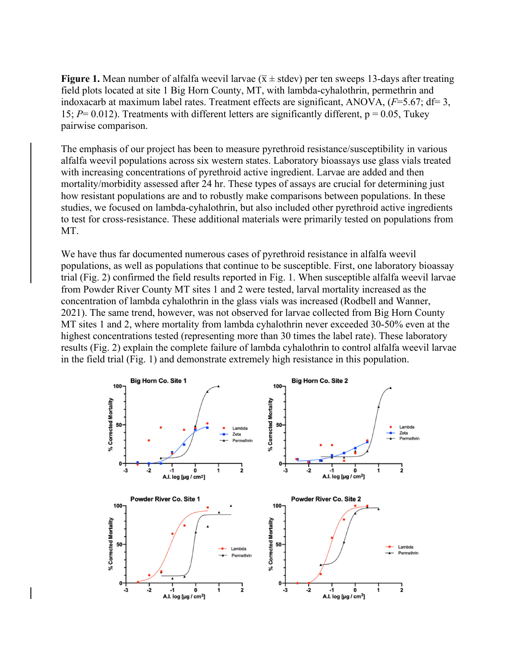**Figure 1.** Mean number of alfalfa weevil larvae ( $\bar{x} \pm$  stdev) per ten sweeps 13-days after treating field plots located at site 1 Big Horn County, MT, with lambda-cyhalothrin, permethrin and indoxacarb at maximum label rates. Treatment effects are significant, ANOVA, ( $F=5.67$ ; df= 3, 15;  $P = 0.012$ ). Treatments with different letters are significantly different,  $p = 0.05$ , Tukey pairwise comparison.

The emphasis of our project has been to measure pyrethroid resistance/susceptibility in various alfalfa weevil populations across six western states. Laboratory bioassays use glass vials treated with increasing concentrations of pyrethroid active ingredient. Larvae are added and then mortality/morbidity assessed after 24 hr. These types of assays are crucial for determining just how resistant populations are and to robustly make comparisons between populations. In these studies, we focused on lambda-cyhalothrin, but also included other pyrethroid active ingredients to test for cross-resistance. These additional materials were primarily tested on populations from MT.

We have thus far documented numerous cases of pyrethroid resistance in alfalfa weevil populations, as well as populations that continue to be susceptible. First, one laboratory bioassay trial (Fig. 2) confirmed the field results reported in Fig. 1. When susceptible alfalfa weevil larvae from Powder River County MT sites 1 and 2 were tested, larval mortality increased as the concentration of lambda cyhalothrin in the glass vials was increased (Rodbell and Wanner, 2021). The same trend, however, was not observed for larvae collected from Big Horn County MT sites 1 and 2, where mortality from lambda cyhalothrin never exceeded 30-50% even at the highest concentrations tested (representing more than 30 times the label rate). These laboratory results (Fig. 2) explain the complete failure of lambda cyhalothrin to control alfalfa weevil larvae in the field trial (Fig. 1) and demonstrate extremely high resistance in this population.

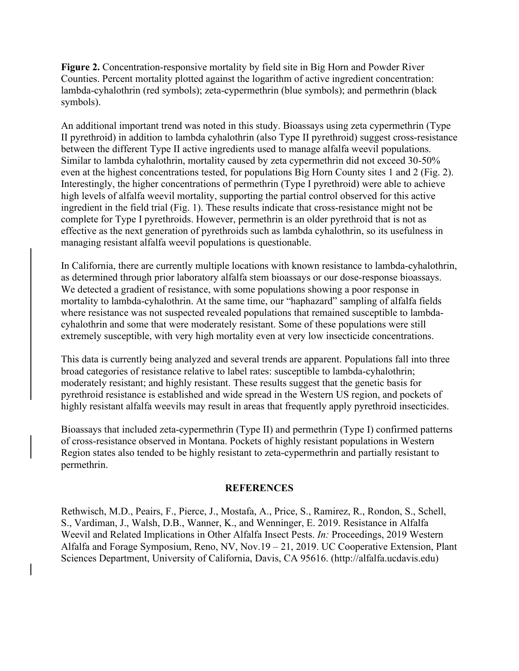**Figure 2.** Concentration-responsive mortality by field site in Big Horn and Powder River Counties. Percent mortality plotted against the logarithm of active ingredient concentration: lambda-cyhalothrin (red symbols); zeta-cypermethrin (blue symbols); and permethrin (black symbols).

An additional important trend was noted in this study. Bioassays using zeta cypermethrin (Type II pyrethroid) in addition to lambda cyhalothrin (also Type II pyrethroid) suggest cross-resistance between the different Type II active ingredients used to manage alfalfa weevil populations. Similar to lambda cyhalothrin, mortality caused by zeta cypermethrin did not exceed 30-50% even at the highest concentrations tested, for populations Big Horn County sites 1 and 2 (Fig. 2). Interestingly, the higher concentrations of permethrin (Type I pyrethroid) were able to achieve high levels of alfalfa weevil mortality, supporting the partial control observed for this active ingredient in the field trial (Fig. 1). These results indicate that cross-resistance might not be complete for Type I pyrethroids. However, permethrin is an older pyrethroid that is not as effective as the next generation of pyrethroids such as lambda cyhalothrin, so its usefulness in managing resistant alfalfa weevil populations is questionable.

In California, there are currently multiple locations with known resistance to lambda-cyhalothrin, as determined through prior laboratory alfalfa stem bioassays or our dose-response bioassays. We detected a gradient of resistance, with some populations showing a poor response in mortality to lambda-cyhalothrin. At the same time, our "haphazard" sampling of alfalfa fields where resistance was not suspected revealed populations that remained susceptible to lambdacyhalothrin and some that were moderately resistant. Some of these populations were still extremely susceptible, with very high mortality even at very low insecticide concentrations.

This data is currently being analyzed and several trends are apparent. Populations fall into three broad categories of resistance relative to label rates: susceptible to lambda-cyhalothrin; moderately resistant; and highly resistant. These results suggest that the genetic basis for pyrethroid resistance is established and wide spread in the Western US region, and pockets of highly resistant alfalfa weevils may result in areas that frequently apply pyrethroid insecticides.

Bioassays that included zeta-cypermethrin (Type II) and permethrin (Type I) confirmed patterns of cross-resistance observed in Montana. Pockets of highly resistant populations in Western Region states also tended to be highly resistant to zeta-cypermethrin and partially resistant to permethrin.

### **REFERENCES**

Rethwisch, M.D., Peairs, F., Pierce, J., Mostafa, A., Price, S., Ramirez, R., Rondon, S., Schell, S., Vardiman, J., Walsh, D.B., Wanner, K., and Wenninger, E. 2019. Resistance in Alfalfa Weevil and Related Implications in Other Alfalfa Insect Pests. *In:* Proceedings, 2019 Western Alfalfa and Forage Symposium, Reno, NV, Nov.19 – 21, 2019. UC Cooperative Extension, Plant Sciences Department, University of California, Davis, CA 95616. (http://alfalfa.ucdavis.edu)